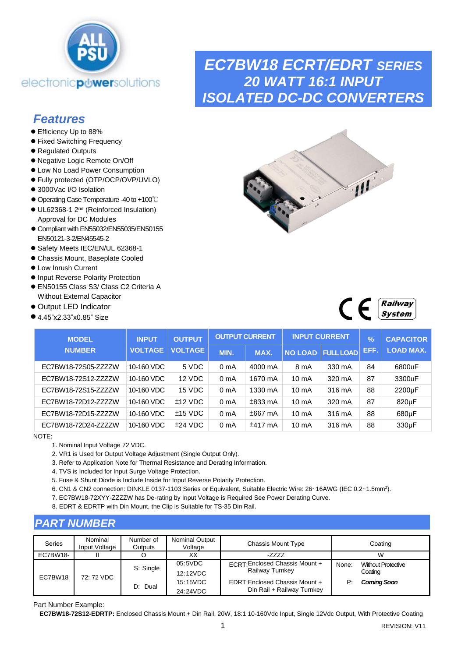

### *Features*

- Efficiency Up to 88%
- ⚫ Fixed Switching Frequency
- ⚫ Regulated Outputs
- ⚫ Negative Logic Remote On/Off
- ⚫ Low No Load Power Consumption
- ⚫ Fully protected (OTP/OCP/OVP/UVLO)
- 3000Vac I/O Isolation
- ⚫ Operating Case Temperature -40 to +100℃
- ⚫ UL62368-1 2nd (Reinforced Insulation) Approval for DC Modules
- Compliant with EN55032/EN55035/EN50155 EN50121-3-2/EN45545-2
- ⚫ Safety Meets IEC/EN/UL 62368-1
- ⚫ Chassis Mount, Baseplate Cooled
- ⚫ Low Inrush Current
- ⚫ Input Reverse Polarity Protection
- EN50155 Class S3/ Class C2 Criteria A Without External Capacitor
- ⚫ Output LED Indicator
- 4.45"x2.33"x0.85" Size

### *EC7BW18 ECRT/EDRT SERIES 20 WATT 16:1 INPUT ISOLATED DC-DC CONVERTERS*





| <b>MODEL</b>         | <b>INPUT</b>   | <b>OUTPUT</b>  |                  | <b>OUTPUT CURRENT</b> |                   | <b>INPUT CURRENT</b>     | $\mathcal{A}$ | <b>CAPACITOR</b>   |
|----------------------|----------------|----------------|------------------|-----------------------|-------------------|--------------------------|---------------|--------------------|
| <b>NUMBER</b>        | <b>VOLTAGE</b> | <b>VOLTAGE</b> | MIN.             | MAX.                  |                   | <b>NO LOAD FULL LOAD</b> | EFF.          | <b>LOAD MAX.</b>   |
| EC7BW18-72S05-ZZZZZW | 10-160 VDC     | 5 VDC          | 0 <sub>m</sub> A | 4000 mA               | 8 mA              | 330 mA                   | 84            | 6800uF             |
| EC7BW18-72S12-ZZZZZW | 10-160 VDC     | 12 VDC         | 0 <sub>m</sub> A | 1670 mA               | 10 <sub>m</sub> A | 320 mA                   | 87            | 3300uF             |
| EC7BW18-72S15-ZZZZZW | 10-160 VDC     | 15 VDC         | 0 <sub>m</sub> A | 1330 mA               | 10 <sub>m</sub> A | 316 mA                   | 88            | 2200µF             |
| EC7BW18-72D12-ZZZZZW | 10-160 VDC     | $±12$ VDC      | 0 <sub>m</sub> A | $±833$ mA             | 10 <sub>m</sub> A | 320 mA                   | 87            | 820µF              |
| EC7BW18-72D15-ZZZZZW | 10-160 VDC     | $±15$ VDC      | 0 <sub>m</sub> A | $±667$ mA             | 10 <sub>m</sub> A | 316 mA                   | 88            | 680µF              |
| EC7BW18-72D24-ZZZZZW | 10-160 VDC     | $±24$ VDC      | 0 <sub>m</sub> A | $±417$ mA             | $10 \text{ mA}$   | 316 mA                   | 88            | 330 <sub>u</sub> F |

NOTE:

- 1. Nominal Input Voltage 72 VDC.
- 2. VR1 is Used for Output Voltage Adjustment (Single Output Only).
- 3. Refer to Application Note for Thermal Resistance and Derating Information.
- 4. TVS is Included for Input Surge Voltage Protection.
- 5. Fuse & Shunt Diode is Include Inside for Input Reverse Polarity Protection.
- 6. CN1 & CN2 connection: DINKLE 0137-1103 Series or Equivalent, Suitable Electric Wire: 26~16AWG (IEC 0.2~1.5mm<sup>2</sup>).
- 7. EC7BW18-72XYY-ZZZZW has De-rating by Input Voltage is Required See Power Derating Curve.
- 8. EDRT & EDRTP with Din Mount, the Clip is Suitable for TS-35 Din Rail.

### *PART NUMBER*

| Series   | Nominal<br>Input Voltage | Number of<br><b>Outputs</b> | Nominal Output<br>Voltage | Chassis Mount Type                                          |       | Coating                              |
|----------|--------------------------|-----------------------------|---------------------------|-------------------------------------------------------------|-------|--------------------------------------|
| EC7BW18- |                          |                             | XХ                        | -ZZZZ                                                       |       | W                                    |
|          |                          | S: Single                   | 05:5VDC<br>12:12VDC       | ECRT: Enclosed Chassis Mount +<br>Railway Turnkey           | None: | <b>Without Protective</b><br>Coating |
| EC7BW18  | 72: 72 VDC               | D: Dual                     | 15:15VDC<br>24:24VDC      | EDRT:Enclosed Chassis Mount +<br>Din Rail + Railway Turnkey | P     | <b>Coming Soon</b>                   |

Part Number Example:

**EC7BW18-72S12-EDRTP:** Enclosed Chassis Mount + Din Rail, 20W, 18:1 10-160Vdc Input, Single 12Vdc Output, With Protective Coating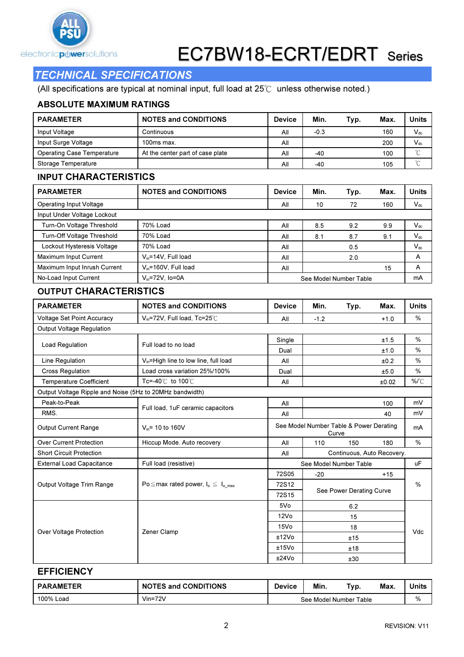

### TECHNICAL SPECIFICATIONS

(All specifications are typical at nominal input, full load at 25℃ unless otherwise noted.)

#### ABSOLUTE MAXIMUM RATINGS

| <b>PARAMETER</b>                  | <b>NOTES and CONDITIONS</b>      | <b>Device</b> | Min.   | Typ.                   | Max. | <b>Units</b>               |  |
|-----------------------------------|----------------------------------|---------------|--------|------------------------|------|----------------------------|--|
| Input Voltage                     | Continuous                       | All           | $-0.3$ |                        | 160  | $V_{dc}$                   |  |
| Input Surge Voltage               | 100ms max.                       | All           |        |                        | 200  | $\mathsf{V}_{\mathsf{dc}}$ |  |
| <b>Operating Case Temperature</b> | At the center part of case plate | All           | -40    |                        | 100  | $^{\circ}$ C               |  |
| Storage Temperature               |                                  | All           | -40    |                        | 105  | °C                         |  |
| <b>INPUT CHARACTERISTICS</b>      |                                  |               |        |                        |      |                            |  |
| <b>PARAMETER</b>                  | <b>NOTES and CONDITIONS</b>      | <b>Device</b> | Min.   | Typ.                   | Max. | <b>Units</b>               |  |
| Operating Input Voltage           |                                  | All           | 10     | 72                     | 160  | $V_{dc}$                   |  |
| Input Under Voltage Lockout       |                                  |               |        |                        |      |                            |  |
| Turn-On Voltage Threshold         | 70% Load                         | All           | 8.5    | 9.2                    | 9.9  | $V_{dc}$                   |  |
| Turn-Off Voltage Threshold        | 70% Load                         | All           | 8.1    | 8.7                    | 9.1  | $V_{dc}$                   |  |
| Lockout Hysteresis Voltage        | 70% Load                         | All           |        | 0.5                    |      | $V_{dc}$                   |  |
| Maximum Input Current             | $V_{in} = 14V$ , Full load       | All           |        | 2.0                    |      | A                          |  |
| Maximum Input Inrush Current      | $V_{in}$ =160V, Full load        | All           |        |                        | 15   | A                          |  |
| No-Load Input Current             | $V_{in} = 72V$ , Io=0A           |               |        | See Model Number Table |      | mA                         |  |

#### OUTPUT CHARACTERISTICS

| <b>PARAMETER</b>                                         | <b>NOTES and CONDITIONS</b>                   | <b>Device</b>     | Min.                                             | Typ.                     | Max.                       | <b>Units</b>  |  |
|----------------------------------------------------------|-----------------------------------------------|-------------------|--------------------------------------------------|--------------------------|----------------------------|---------------|--|
| <b>Voltage Set Point Accuracy</b>                        | $V_{in}$ =72V, Full load, Tc=25°C             | All               | $-1.2$                                           |                          | $+1.0$                     | %             |  |
| Output Voltage Regulation                                |                                               |                   |                                                  |                          |                            |               |  |
| Load Regulation                                          | Full load to no load                          | Single            |                                                  |                          | ±1.5                       | %             |  |
|                                                          |                                               | Dual              |                                                  |                          | ±1.0                       | $\%$          |  |
| Line Regulation                                          | $V_{in}$ =High line to low line, full load    | All               |                                                  |                          | ±0.2                       | $\%$          |  |
| <b>Cross Regulation</b>                                  | Load cross variation 25%/100%                 | Dual              |                                                  |                          | ±5.0                       | $\%$          |  |
| <b>Temperature Coefficient</b>                           | Tc=-40 $\degree$ C to 100 $\degree$ C         | All               |                                                  |                          | ±0.02                      | $%^{\circ}C$  |  |
| Output Voltage Ripple and Noise (5Hz to 20MHz bandwidth) |                                               |                   |                                                  |                          |                            |               |  |
| Peak-to-Peak                                             |                                               | All               |                                                  |                          | 100                        | mV            |  |
| RMS.                                                     | Full load, 1uF ceramic capacitors             | All               |                                                  |                          | 40                         | mV            |  |
| <b>Output Current Range</b>                              | $V_{in}$ = 10 to 160V                         |                   | See Model Number Table & Power Derating<br>Curve |                          |                            | mA            |  |
| <b>Over Current Protection</b>                           | Hiccup Mode. Auto recovery                    | All               | 110                                              | 150                      | 180                        | $\%$          |  |
| <b>Short Circuit Protection</b>                          |                                               | All               |                                                  |                          | Continuous, Auto Recovery. |               |  |
| <b>External Load Capacitance</b>                         | Full load (resistive)                         |                   |                                                  | See Model Number Table   |                            | <b>uF</b>     |  |
|                                                          |                                               | 72S05             | $-20$                                            |                          | $+15$                      |               |  |
| Output Voltage Trim Range                                | Po $\leq$ max rated power, $I_0 \leq I_0$ max | 72S12             |                                                  |                          |                            | $\frac{0}{0}$ |  |
|                                                          |                                               | 72S15             |                                                  | See Power Derating Curve |                            |               |  |
|                                                          |                                               | 5Vo               |                                                  | 6.2                      |                            |               |  |
|                                                          |                                               | 12V <sub>O</sub>  | 15                                               |                          |                            |               |  |
|                                                          |                                               | 15V <sub>0</sub>  |                                                  | 18                       |                            | Vdc           |  |
| Over Voltage Protection                                  | Zener Clamp                                   | ±12V <sub>O</sub> |                                                  | ±15                      |                            |               |  |
|                                                          |                                               | ±15V <sub>O</sub> |                                                  | ±18                      |                            |               |  |
|                                                          |                                               | ±24V <sub>o</sub> | ±30                                              |                          |                            |               |  |

#### **EFFICIENCY**

| <b>PARAMETER</b> | <b>NOTES and CONDITIONS</b> | $\overline{\phantom{a}}$<br><b>Device</b> | Min.                   | тур. | Max. | Units |
|------------------|-----------------------------|-------------------------------------------|------------------------|------|------|-------|
| 100% Load        | $Vin=72V$                   |                                           | See Model Number Table |      |      | %     |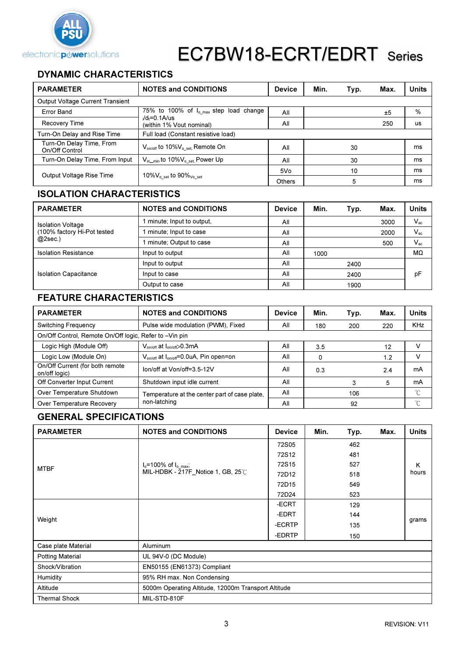

### DYNAMIC CHARACTERISTICS

| <b>PARAMETER</b>                           | <b>NOTES and CONDITIONS</b>                               | <b>Device</b> | Min. | Typ. | Max. | <b>Units</b> |
|--------------------------------------------|-----------------------------------------------------------|---------------|------|------|------|--------------|
| <b>Output Voltage Current Transient</b>    |                                                           |               |      |      |      |              |
| Error Band                                 | 75% to 100% of I <sub>o max</sub> step load change        | All           |      |      | ±5   | %            |
| Recovery Time                              | $/d_f = 0.1$ A/us<br>(within 1% Vout nominal)             | All           |      |      | 250  | us           |
| Turn-On Delay and Rise Time                | Full load (Constant resistive load)                       |               |      |      |      |              |
| Turn-On Delay Time, From<br>On/Off Control | $V_{\text{on/off}}$ to 10% $V_{\text{o set}}$ . Remote On | All           |      | 30   |      | ms           |
| Turn-On Delay Time, From Input             | $V_{\text{in\_min}}$ to 10% $V_{\text{o set}}$ Power Up   | All           |      | 30   |      | ms           |
|                                            |                                                           | 5Vo           |      | 10   |      | ms           |
| Output Voltage Rise Time                   | 10% $V_{\rm o}$ set to 90% $_{\rm Vo}$ set                | <b>Others</b> |      | 5    |      | ms           |

### ISOLATION CHARACTERISTICS

| <b>PARAMETER</b>             | <b>NOTES and CONDITIONS</b> | <b>Device</b> | Min. | Typ. | Max. | <b>Units</b> |
|------------------------------|-----------------------------|---------------|------|------|------|--------------|
| <b>Isolation Voltage</b>     | minute; Input to output,    | All           |      |      | 3000 | $V_{\rm ac}$ |
| (100% factory Hi-Pot tested  | minute; Input to case       | All           |      |      | 2000 | $V_{ac}$     |
| $@2sec.$ )                   | minute; Output to case      | All           |      |      | 500  | $V_{ac}$     |
| <b>Isolation Resistance</b>  | Input to output             | All           | 1000 |      |      | MΩ           |
|                              | Input to output             | All           |      | 2400 |      |              |
| <b>Isolation Capacitance</b> | Input to case               | All           |      | 2400 |      | pF           |
|                              | Output to case              | All           |      | 1900 |      |              |

### FEATURE CHARACTERISTICS

| <b>PARAMETER</b>                                       | <b>NOTES and CONDITIONS</b>                                    | <b>Device</b> | Min. | Typ.       | Max. | Units |
|--------------------------------------------------------|----------------------------------------------------------------|---------------|------|------------|------|-------|
| Switching Frequency                                    | Pulse wide modulation (PWM), Fixed<br>All<br>200<br>180        |               | 220  | <b>KHz</b> |      |       |
| On/Off Control, Remote On/Off logic, Refer to -Vin pin |                                                                |               |      |            |      |       |
| Logic High (Module Off)                                | $V_{on/off}$ at $I_{on/off} > 0.3 \text{mA}$                   | All           | 3.5  |            | 12   |       |
| Logic Low (Module On)                                  | V <sub>on/off</sub> at l <sub>on/off</sub> =0.0uA, Pin open=on | All           | 0    |            | 1.2  |       |
| On/Off Current (for both remote<br>on/off logic)       | lon/off at Von/off=3.5-12V                                     | All           | 0.3  |            | 2.4  | mA    |
| Off Converter Input Current                            | Shutdown input idle current                                    | All           |      | 3          | 5    | mA    |
| Over Temperature Shutdown                              | Temperature at the center part of case plate.                  | All           |      | 106        |      | °C    |
| Over Temperature Recovery                              | non-latching                                                   | All           |      | 92         |      | °C    |

### GENERAL SPECIFICATIONS

| <b>PARAMETER</b>        | <b>NOTES and CONDITIONS</b>                         | <b>Device</b> | Min. | Typ. | Max. | Units      |  |
|-------------------------|-----------------------------------------------------|---------------|------|------|------|------------|--|
|                         |                                                     | 72S05         |      | 462  |      |            |  |
| <b>MTBF</b>             |                                                     | 72S12         |      | 481  |      |            |  |
|                         | $I_0 = 100\%$ of $I_{0,max}$ ;                      | 72S15         |      | 527  |      | K<br>hours |  |
|                         | MIL-HDBK - 217F_Notice 1, GB, 25℃                   | 72D12         |      | 518  |      |            |  |
|                         |                                                     | 72D15         |      | 549  |      |            |  |
|                         |                                                     | 72D24         |      | 523  |      |            |  |
|                         |                                                     | -ECRT         |      | 129  |      |            |  |
|                         |                                                     | -EDRT         |      | 144  |      | grams      |  |
| Weight                  |                                                     | -ECRTP        |      | 135  |      |            |  |
|                         |                                                     | -EDRTP        |      | 150  |      |            |  |
| Case plate Material     | Aluminum                                            |               |      |      |      |            |  |
| <b>Potting Material</b> | UL 94V-0 (DC Module)                                |               |      |      |      |            |  |
| Shock/Vibration         | EN50155 (EN61373) Compliant                         |               |      |      |      |            |  |
| Humidity                | 95% RH max. Non Condensing                          |               |      |      |      |            |  |
| Altitude                | 5000m Operating Altitude, 12000m Transport Altitude |               |      |      |      |            |  |
| <b>Thermal Shock</b>    | MIL-STD-810F                                        |               |      |      |      |            |  |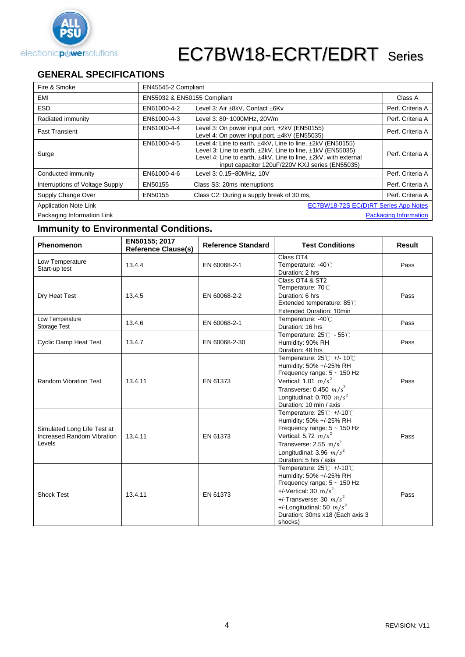

### **GENERAL SPECIFICATIONS**

| Fire & Smoke                    | EN45545-2 Compliant |                                                                                                                                                                                                                                                           |                              |
|---------------------------------|---------------------|-----------------------------------------------------------------------------------------------------------------------------------------------------------------------------------------------------------------------------------------------------------|------------------------------|
| EMI                             |                     | EN55032 & EN50155 Compliant                                                                                                                                                                                                                               | Class A                      |
| <b>ESD</b>                      | EN61000-4-2         | Level 3: Air ±8kV, Contact ±6Kv                                                                                                                                                                                                                           | Perf. Criteria A             |
| Radiated immunity               | EN61000-4-3         | Level 3: 80~1000MHz, 20V/m                                                                                                                                                                                                                                | Perf. Criteria A             |
| <b>Fast Transient</b>           | EN61000-4-4         | Level 3: On power input port, ±2kV (EN50155)<br>Level 4: On power input port, ±4kV (EN55035)                                                                                                                                                              | Perf. Criteria A             |
| Surge                           | EN61000-4-5         | Level 4: Line to earth, ±4kV, Line to line, ±2kV (EN50155)<br>Level 3: Line to earth, $\pm 2kV$ , Line to line, $\pm 1kV$ (EN55035)<br>Level 4: Line to earth, ±4kV, Line to line, ±2kV, with external<br>input capacitor 120uF/220V KXJ series (EN55035) | Perf. Criteria A             |
| Conducted immunity              | EN61000-4-6         | Level 3: 0.15~80MHz, 10V                                                                                                                                                                                                                                  | Perf. Criteria A             |
| Interruptions of Voltage Supply | EN50155             | Class S3: 20ms interruptions                                                                                                                                                                                                                              | Perf. Criteria A             |
| Supply Change Over              | EN50155             | Class C2: During a supply break of 30 ms,                                                                                                                                                                                                                 | Perf. Criteria A             |
| <b>Application Note Link</b>    |                     | EC7BW18-72S EC(D)RT Series App Notes                                                                                                                                                                                                                      |                              |
| Packaging Information Link      |                     |                                                                                                                                                                                                                                                           | <b>Packaging Information</b> |

### **Immunity to Environmental Conditions.**

| <b>Phenomenon</b>                                                   | EN50155; 2017<br><b>Reference Clause(s)</b> | <b>Reference Standard</b> | <b>Test Conditions</b>                                                                                                                                                                                                             | Result |
|---------------------------------------------------------------------|---------------------------------------------|---------------------------|------------------------------------------------------------------------------------------------------------------------------------------------------------------------------------------------------------------------------------|--------|
| Low Temperature<br>Start-up test                                    | 13.4.4                                      | EN 60068-2-1              | Class OT4<br>Temperature: -40°C<br>Duration: 2 hrs                                                                                                                                                                                 | Pass   |
| Dry Heat Test                                                       | 13.4.5                                      | EN 60068-2-2              | Class OT4 & ST2<br>Temperature: 70℃<br>Duration: 6 hrs<br>Extended temperature: 85°C<br><b>Extended Duration: 10min</b>                                                                                                            | Pass   |
| Low Temperature<br>Storage Test                                     | 13.4.6                                      | EN 60068-2-1              | Temperature: -40°C<br>Duration: 16 hrs                                                                                                                                                                                             | Pass   |
| <b>Cyclic Damp Heat Test</b>                                        | 13.4.7                                      | EN 60068-2-30             | Temperature: 25°C - 55°C<br>Humidity: 90% RH<br>Duration: 48 hrs                                                                                                                                                                   | Pass   |
| <b>Random Vibration Test</b>                                        | 13.4.11                                     | EN 61373                  | Temperature: 25°C +/- 10°C<br>Humidity: 50% +/-25% RH<br>Frequency range: 5 ~ 150 Hz<br>Vertical: 1.01 $m/s^2$<br>Transverse: 0.450 $m/s^2$<br>Longitudinal: 0.700 $m/s^2$<br>Duration: 10 min / axis                              | Pass   |
| Simulated Long Life Test at<br>Increased Random Vibration<br>Levels | 13.4.11                                     | EN 61373                  | Temperature: 25°C +/-10°C<br>Humidity: 50% +/-25% RH<br>Frequency range: $5 \sim 150$ Hz<br>Vertical: 5.72 $m/s^2$<br>Transverse: 2.55 m/s <sup>2</sup><br>Longitudinal: 3.96 $m/s^2$<br>Duration: 5 hrs / axis                    | Pass   |
| <b>Shock Test</b>                                                   | 13.4.11                                     | EN 61373                  | Temperature: 25℃ +/-10℃<br>Humidity: 50% +/-25% RH<br>Frequency range: 5 ~ 150 Hz<br>$+/-V$ ertical: 30 m/s <sup>2</sup><br>+/-Transverse: 30 $m/s^2$<br>+/-Longitudinal: 50 $m/s^2$<br>Duration: 30ms x18 (Each axis 3<br>shocks) | Pass   |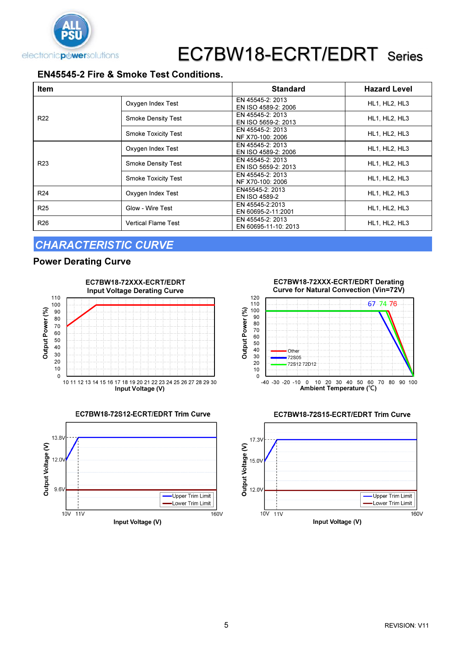

### EN45545-2 Fire & Smoke Test Conditions.

| <b>Item</b>     |                            | <b>Standard</b>                          | <b>Hazard Level</b>  |
|-----------------|----------------------------|------------------------------------------|----------------------|
|                 | Oxygen Index Test          | EN 45545-2: 2013<br>EN ISO 4589-2: 2006  | <b>HL1, HL2, HL3</b> |
| R <sub>22</sub> | <b>Smoke Density Test</b>  | EN 45545-2: 2013<br>EN ISO 5659-2: 2013  | HL1, HL2, HL3        |
|                 | <b>Smoke Toxicity Test</b> | EN 45545-2: 2013<br>NF X70-100: 2006     | HL1, HL2, HL3        |
|                 | Oxygen Index Test          | EN 45545-2: 2013<br>EN ISO 4589-2: 2006  | HL1, HL2, HL3        |
| R <sub>23</sub> | <b>Smoke Density Test</b>  | EN 45545-2: 2013<br>EN ISO 5659-2: 2013  | HL1, HL2, HL3        |
|                 | <b>Smoke Toxicity Test</b> | EN 45545-2: 2013<br>NF X70-100: 2006     | HL1, HL2, HL3        |
| R <sub>24</sub> | Oxygen Index Test          | EN45545-2: 2013<br><b>EN ISO 4589-2</b>  | HL1, HL2, HL3        |
| R <sub>25</sub> | Glow - Wire Test           | EN 45545-2:2013<br>EN 60695-2-11:2001    | HL1, HL2, HL3        |
| R <sub>26</sub> | <b>Vertical Flame Test</b> | EN 45545-2: 2013<br>EN 60695-11-10: 2013 | HL1, HL2, HL3        |

### CHARACTERISTIC CURVE

### Power Derating Curve





EC7BW18-72XXX-ECRT/EDRT Derating Curve for Natural Convection (Vin=72V)





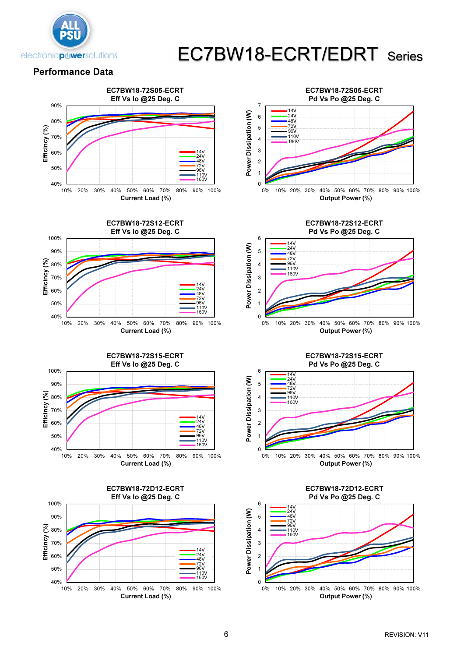

#### Performance Data

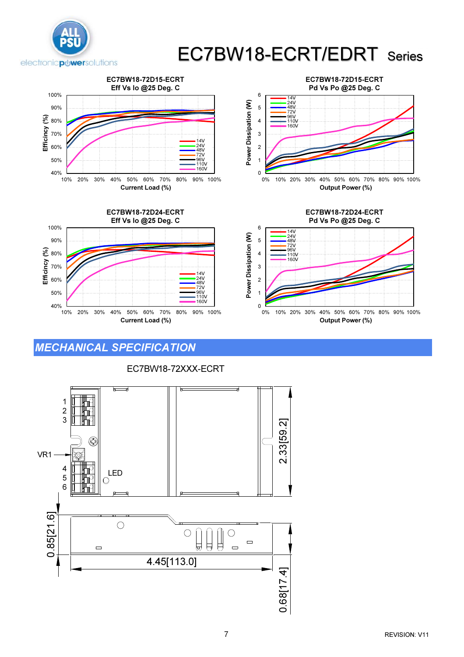



### MECHANICAL SPECIFICATION